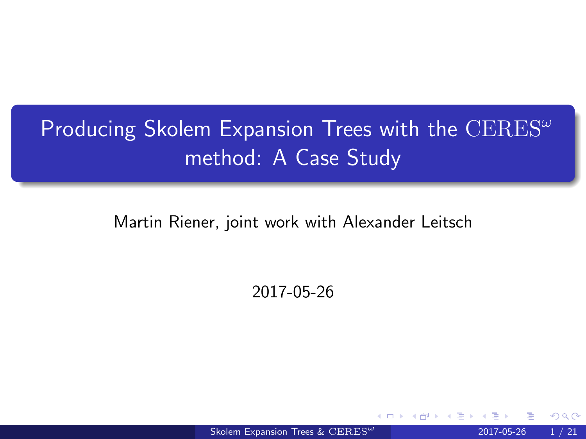## <span id="page-0-0"></span>Producing Skolem Expansion Trees with the  $CERES^{\omega}$ method: A Case Study

Martin Riener, joint work with Alexander Leitsch

2017-05-26

[Skolem Expansion Trees &](#page-20-0) CERES<sup> $\omega$ </sup> 2017-05-26 1 / 21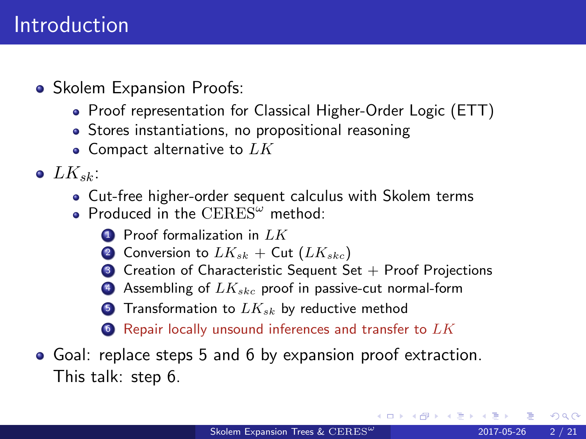- Skolem Expansion Proofs:
	- Proof representation for Classical Higher-Order Logic (ETT)
	- Stores instantiations, no propositional reasoning
	- $\bullet$  Compact alternative to  $LK$
- $\bullet$  LK<sub>sk</sub>:
	- Cut-free higher-order sequent calculus with Skolem terms
	- Produced in the  $CERES^{\omega}$  method:
		- $\bullet$  Proof formalization in  $LK$
		- 2 Conversion to  $LK_{sk}$  + Cut  $(LK_{skc})$
		- $\bullet$  Creation of Characteristic Sequent Set + Proof Projections
		- 4 Assembling of  $LK_{skc}$  proof in passive-cut normal-form
		- **5** Transformation to  $LK_{sk}$  by reductive method
		- $\bullet$  Repair locally unsound inferences and transfer to  $LK$
- <span id="page-1-1"></span><span id="page-1-0"></span>Goal: replace steps [5](#page-1-0) and [6](#page-1-1) by expansion proof extraction. This talk: step 6.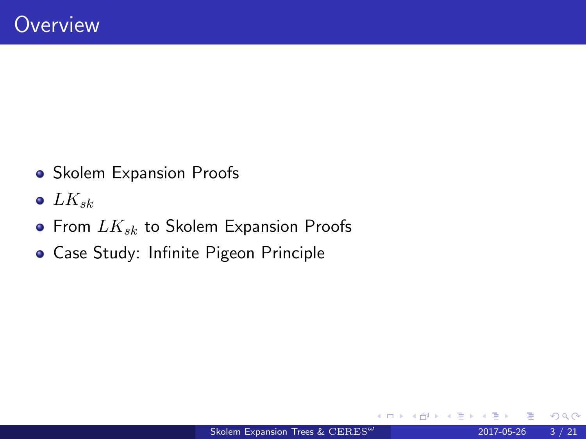- Skolem Expansion Proofs
- $\bullet$  LK<sub>sk</sub>
- From  $LK_{sk}$  to Skolem Expansion Proofs
- Case Study: Infinite Pigeon Principle

4 D F

 $QQ$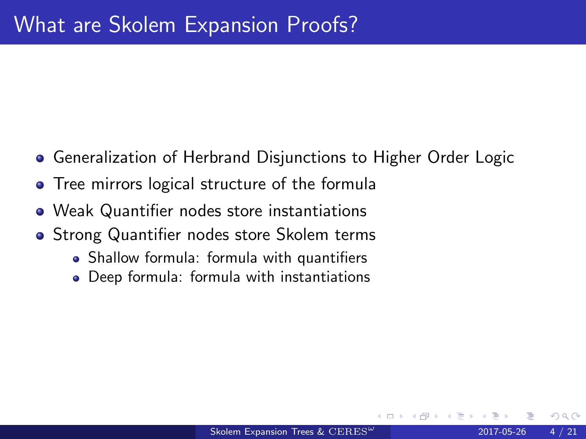- **Generalization of Herbrand Disjunctions to Higher Order Logic**
- Tree mirrors logical structure of the formula
- Weak Quantifier nodes store instantiations
- **•** Strong Quantifier nodes store Skolem terms
	- Shallow formula: formula with quantifiers
	- Deep formula: formula with instantiations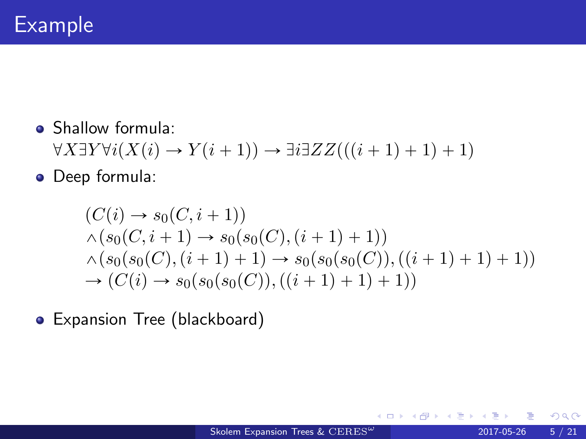**Shallow formula:**  $\forall X \exists Y \forall i (X(i) \rightarrow Y(i+1)) \rightarrow \exists i \exists ZZ (((i+1)+1)+1)$ 

Deep formula:

$$
(C(i) \rightarrow s_0(C, i + 1))
$$
  
\n
$$
\land (s_0(C, i + 1) \rightarrow s_0(s_0(C), (i + 1) + 1))
$$
  
\n
$$
\land (s_0(s_0(C), (i + 1) + 1) \rightarrow s_0(s_0(s_0(C)), ((i + 1) + 1) + 1))
$$
  
\n
$$
\rightarrow (C(i) \rightarrow s_0(s_0(s_0(C)), ((i + 1) + 1) + 1))
$$

Expansion Tree (blackboard)

4 D F

4 B K 4

 $299$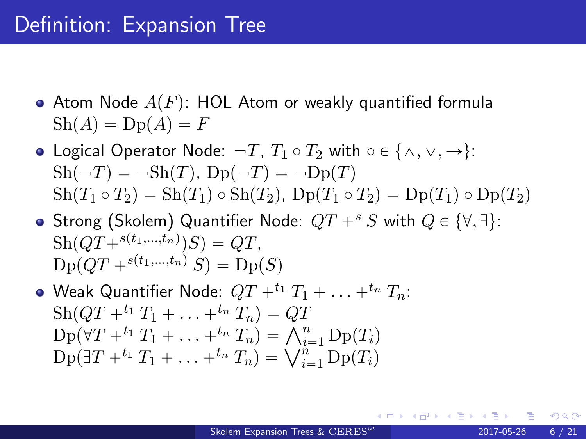### Definition: Expansion Tree

- Atom Node  $A(F)$ : HOL Atom or weakly quantified formula  $\text{Sh}(A) = \text{Dp}(A) = F$
- Logical Operator Node:  $\neg T$ ,  $T_1 \circ T_2$  with  $\circ \in \{\land, \lor, \to\}$ :  $\text{Sh}(\neg T) = \neg \text{Sh}(T)$ ,  $\text{Dp}(\neg T) = \neg \text{Dp}(T)$  $\text{Sh}(T_1 \circ T_2) = \text{Sh}(T_1) \circ \text{Sh}(T_2)$ ,  $\text{Dp}(T_1 \circ T_2) = \text{Dp}(T_1) \circ \text{Dp}(T_2)$
- Strong (Skolem) Quantifier Node:  $QT +^s S$  with  $Q \in \{\forall, \exists\}$ :  $\mathrm{Sh}(QT+^{s(t_1,...,t_n)})S) = QT,$  $Dp(QT + s(t_1,...,t_n) S) = Dp(S)$
- $\bullet$  Weak Quantifier Node:  $QT +^{t_1} T_1 + \ldots +^{t_n} T_n$ :  $\text{Sh}(QT +^{t_1} T_1 + \ldots +^{t_n} T_n) = QT$  $\text{Sh}(QT +^{i_1} T_1 + \ldots +^{i_n} T_n) = QT$ <br> $\text{Dp}(\forall T +^{i_1} T_1 + \ldots +^{i_n} T_n) = \bigwedge_{i=1}^n \text{Dp}(T_i)$  $Dp(\forall T +^{e_1} T_1 + \ldots +^{e_n} T_n) = \bigwedge_{i=1}^{n} Dp(T_i)$ <br>  $Dp(\exists T +^{t_1} T_1 + \ldots +^{t_n} T_n) = \bigvee_{i=1}^{n} Dp(T_i)$

 $QQ$ 

∢ ロ ▶ ( x 伊 ▶ ( ( 后 ) ( ( 后 )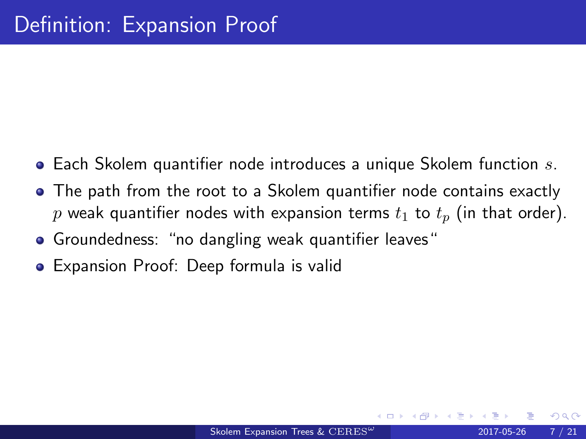- $\bullet$  Each Skolem quantifier node introduces a unique Skolem function s.
- The path from the root to a Skolem quantifier node contains exactly p weak quantifier nodes with expansion terms  $t_1$  to  $t_p$  (in that order).
- Groundedness: "no dangling weak quantifier leaves"
- Expansion Proof: Deep formula is valid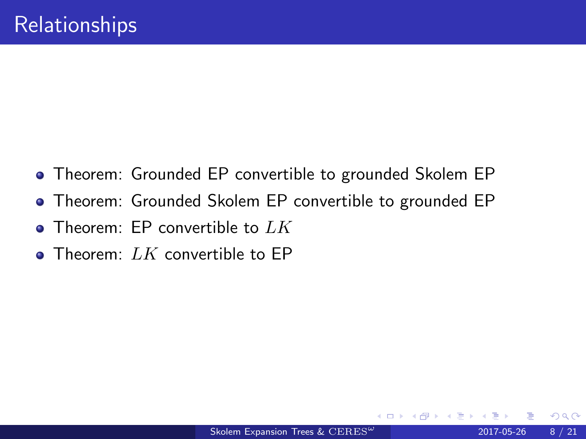- Theorem: Grounded EP convertible to grounded Skolem EP
- Theorem: Grounded Skolem EP convertible to grounded EP
- Theorem: EP convertible to  $LK$
- Theorem:  $LK$  convertible to EP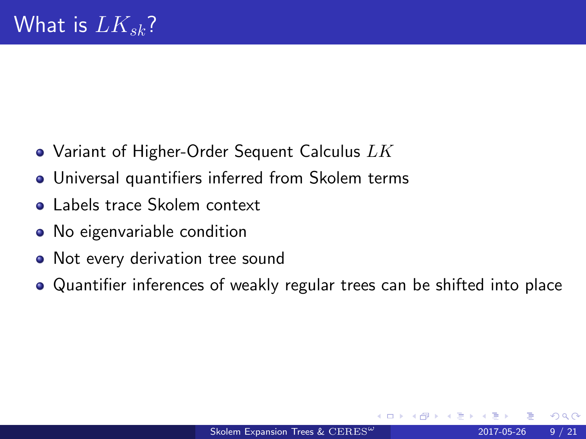- Variant of Higher-Order Sequent Calculus  $LK$
- Universal quantifiers inferred from Skolem terms
- **o** Labels trace Skolem context
- No eigenvariable condition
- Not every derivation tree sound
- Quantifier inferences of weakly regular trees can be shifted into place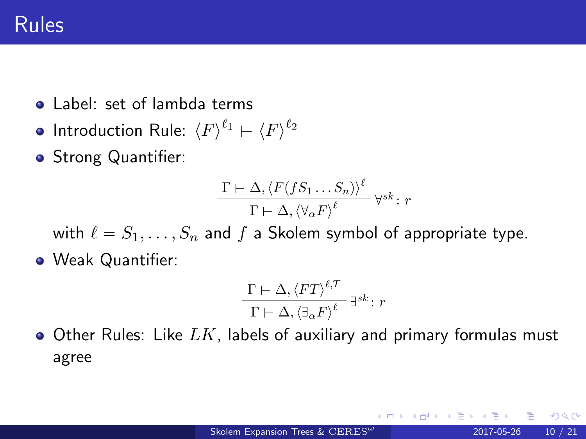- **o** Label: set of lambda terms
- Introduction Rule:  $\braket{F}^{\ell_1} \vdash \braket{F}^{\ell_2}$
- **•** Strong Quantifier:

$$
\frac{\Gamma \vdash \Delta, \langle F(fS_1 \dots S_n) \rangle^{\ell}}{\Gamma \vdash \Delta, \langle \forall_{\alpha} F \rangle^{\ell}} \, \forall^{sk} \colon r
$$

with  $\ell = S_1, \ldots, S_n$  and f a Skolem symbol of appropriate type.

Weak Quantifier:

$$
\frac{\Gamma \vdash \Delta, \langle FT \rangle^{\ell, T}}{\Gamma \vdash \Delta, \langle \exists_{\alpha} F \rangle^{\ell}} \exists^{sk} \colon r
$$

 $\bullet$  Other Rules: Like  $LK$ , labels of auxiliary and primary formulas must agree

つへへ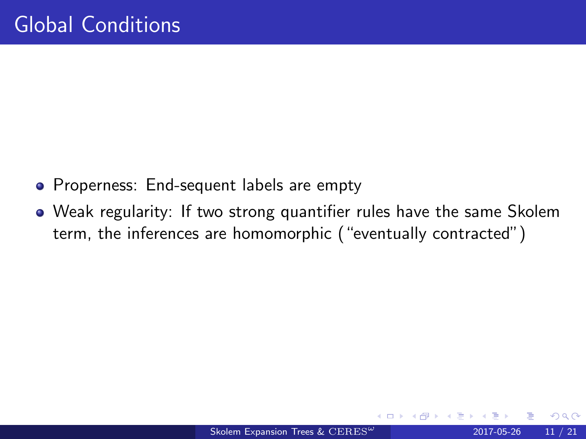- Properness: End-sequent labels are empty
- Weak regularity: If two strong quantifier rules have the same Skolem term, the inferences are homomorphic ("eventually contracted")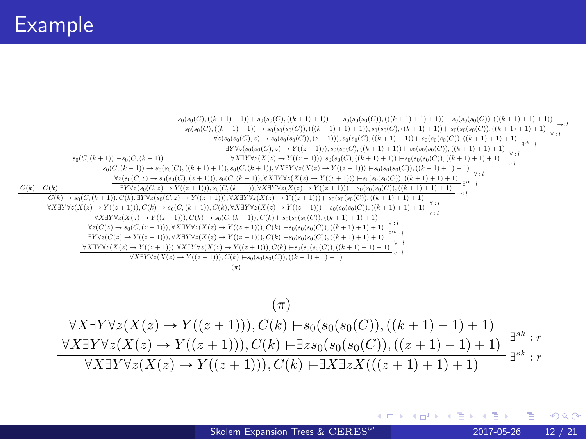

$$
(\pi) \frac{\forall X \exists Y \forall z (X(z) \to Y((z+1))), C(k) \vdash s_0(s_0(s_0(C)), ((k+1)+1)+1)}{\forall X \exists Y \forall z (X(z) \to Y((z+1))), C(k) \vdash \exists z s_0(s_0(s_0(C)), ((z+1)+1)+1)} \exists^{s^k} : r \forall X \exists Y \forall z (X(z) \to Y((z+1))), C(k) \vdash \exists X \exists z X (((z+1)+1)+1) \exists z s_0(s_0(s_0(C)) \land \exists z s_0(s_0(s_0(C)) \land \exists z s_0(s_0(s_0(C))) \exists z s_0(s_0(s_0(C)) \land \exists z s_0(s_0(s_0(C)) \land \exists z s_0(s_0(s_0(C)) \land \exists z s_0(s_0(s_0(C)) \land \exists z s_0(s_0(s_0(C)) \land \exists z s_0(s_0(s_0(C)) \land \exists z s_0(s_0(s_0(C)) \land \exists z s_0(s_0(s_0(C)) \land \exists z s_0(s_0(s_0(C)) \land \exists z s_0(s_0(s_0(C)) \land \exists z s_0(s_0(s_0(C)) \land \exists z s_0(s_0(s_0(C)) \land \exists z s_0(s_0(s_0(C)) \land \exists z s_0(s_0(s_0(C)) \land \exists z s_0(s_0(s_0(C)) \land \exists z s_0(s_0(s_0(C)) \land \exists z s_0(s_0(s_0(C)) \land \exists z s_0(s_0(s_0(C)) \land \exists z s_0(s_0(s_0(C)) \land \exists z s_0(s_0(s_0(C)) \land \exists z s_0(s_0(s_0(C)) \land \exists z s_0(s_0(s_0(C)) \land \exists z s_0(s_0(s_0(C)) \land \exists z s_0(s_0(s_0(C)) \land \exists z s_0(s_0(s_0(C)) \land \exists z s_0(s_0(s_0(C)) \land \exists z s_0(s_0(s_0(C)) \land \exists z s_0(s_0(s_0(C)) \land \exists z s_0(s_0(s_0(C)) \land \exists z s_0(s_0(s_0(C)) \land \exists z s_0(s_0(s_0(C)) \land \exists z s_0(s_0(s_0(C)) \land \exists z s_0(s_0(s_0(C)) \land \exists z s_0(s_0(s_0(C)) \land \exists z s_0(s_0(s_0(C)) \
$$

K □ ▶ K @ ▶ K ミ ▶ K ミ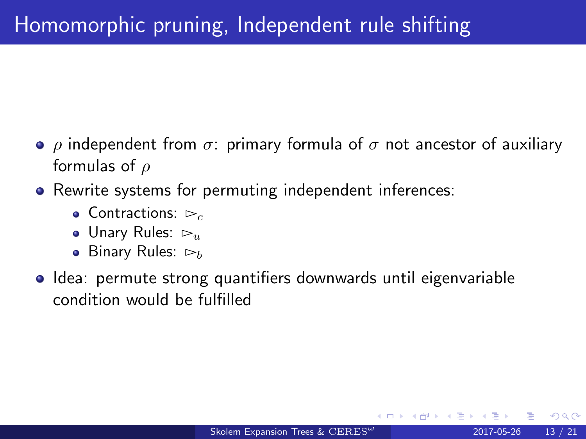- $ρ$  independent from  $σ$ : primary formula of  $σ$  not ancestor of auxiliary formulas of  $\rho$
- Rewrite systems for permuting independent inferences:
	- $\bullet$  Contractions:  $\triangleright_{c}$
	- Unary Rules:  $\triangleright_u$
	- Binary Rules:  $\triangleright_b$
- Idea: permute strong quantifiers downwards until eigenvariable condition would be fulfilled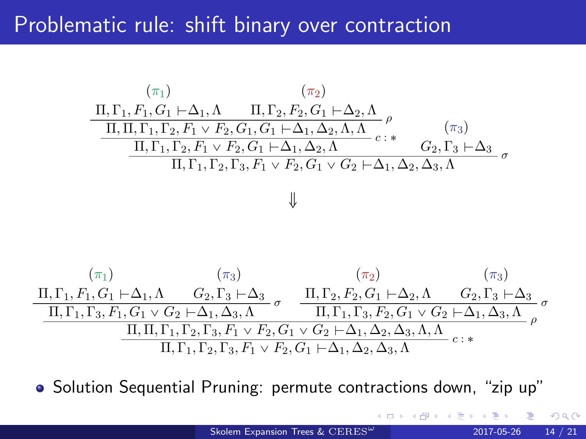## Problematic rule: shift binary over contraction



• Solution Sequential Pruning: permute contractions down, "zip up"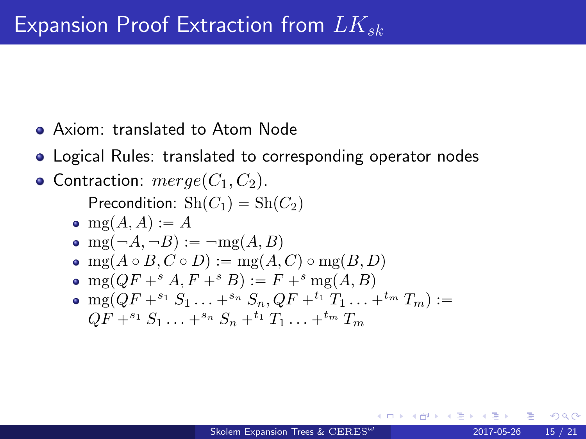- Axiom: translated to Atom Node
- Logical Rules: translated to corresponding operator nodes

#### • Contraction:  $merge(C_1, C_2)$ .

Precondition:  $\mathrm{Sh}(C_1) = \mathrm{Sh}(C_2)$ 

- $\bullet$  mg(A, A) := A
- $emf(A, \neg B) := \neg me(A, B)$
- mg $(A \circ B, C \circ D) := \text{mg}(A, C) \circ \text{mg}(B, D)$
- mg $(OF + ^s A, F + ^s B) := F + ^s mg(A, B)$
- $\bullet$  mg( $QF + ^{s_1}S_1 \ldots + ^{s_n}S_n$ ,  $QF + ^{t_1}T_1 \ldots + ^{t_m}T_m$ ) :=  $QF + ^{s_1}S_1 \ldots + ^{s_n}S_n + ^{t_1}T_1 \ldots + ^{t_m}T_m$

つひひ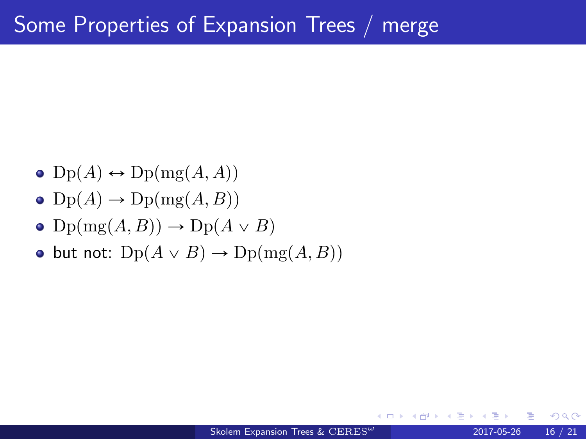- $\bullet$  Dp(A)  $\leftrightarrow$  Dp(mg(A, A))
- $\bullet$  Dp(A)  $\rightarrow$  Dp(mg(A, B))
- $\bullet$  Dp(mg(A, B))  $\rightarrow$  Dp(A  $\vee$  B)
- but not:  $Dp(A \vee B) \rightarrow Dp(mg(A, B))$

4 D F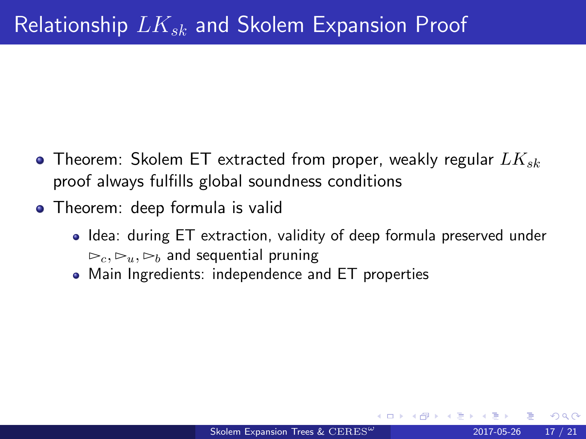- Theorem: Skolem ET extracted from proper, weakly regular  $LK_{sk}$ proof always fulfills global soundness conditions
- Theorem: deep formula is valid
	- Idea: during ET extraction, validity of deep formula preserved under  $\triangleright_c, \triangleright_u, \triangleright_b$  and sequential pruning
	- Main Ingredients: independence and ET properties

つひひ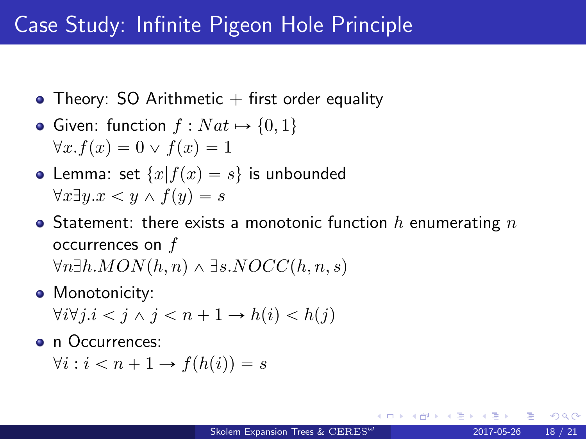## Case Study: Infinite Pigeon Hole Principle

- Theory: SO Arithmetic  $+$  first order equality
- Given: function  $f : Nat \mapsto \{0, 1\}$  $\forall x. f(x) = 0 \lor f(x) = 1$
- Lemma: set  $\{x|f(x) = s\}$  is unbounded  $\forall x \exists y . x \leq y \land f(y) = s$
- Statement: there exists a monotonic function h enumerating  $n$ occurrences on  $f$  $\forall n \exists h. MON(h, n) \wedge \exists s.NOCC(h, n, s)$
- Monotonicity:  $\forall i \forall j \in i < j \land j < n + 1 \rightarrow h(i) < h(j)$
- n Occurrences:

 $\forall i : i < n + 1 \rightarrow f(h(i)) = s$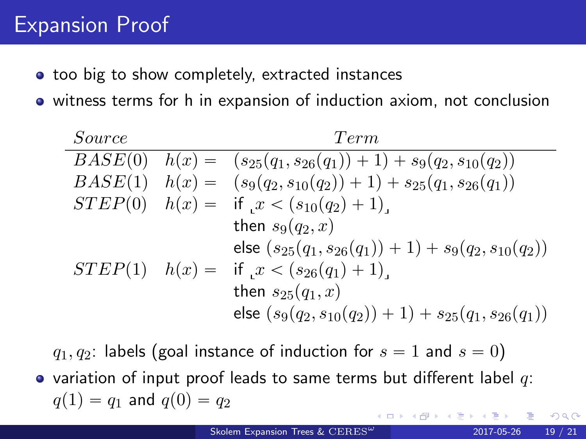## Expansion Proof

- **•** too big to show completely, extracted instances
- witness terms for h in expansion of induction axiom, not conclusion

| Source  | Term                                                                      |
|---------|---------------------------------------------------------------------------|
| BASE(0) | $h(x) = (s_{25}(q_1, s_{26}(q_1)) + 1) + s_9(q_2, s_{10}(q_2))$           |
|         | $BASE(1)$ $h(x) = (s_9(q_2, s_{10}(q_2)) + 1) + s_{25}(q_1, s_{26}(q_1))$ |
|         | $STEP(0)$ $h(x) =$ if $x < (s_{10}(q_2) + 1)$ .                           |
|         | then $s_9(q_2, x)$                                                        |
|         | else $(s_{25}(q_1, s_{26}(q_1)) + 1) + s_9(q_2, s_{10}(q_2))$             |
|         | $STEP(1)$ $h(x) =$ if $x < (s_{26}(q_1) + 1)$ .                           |
|         | then $s_{25}(q_1, x)$                                                     |
|         | else $(s_9(q_2, s_{10}(q_2)) + 1) + s_{25}(q_1, s_{26}(q_1))$             |

 $q_1, q_2$ : labels (goal instance of induction for  $s = 1$  and  $s = 0$ ) • variation of input proof leads to same terms but different label  $q$ :  $q(1) = q_1$  and  $q(0) = q_2$ 

つひひ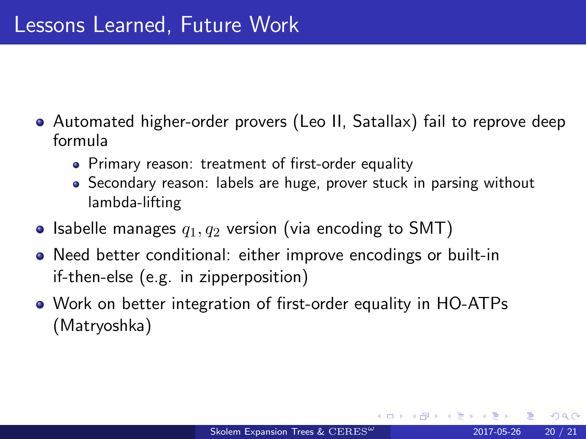- Automated higher-order provers (Leo II, Satallax) fail to reprove deep formula
	- Primary reason: treatment of first-order equality
	- Secondary reason: labels are huge, prover stuck in parsing without lambda-lifting
- Isabelle manages  $q_1, q_2$  version (via encoding to SMT)
- Need better conditional: either improve encodings or built-in if-then-else (e.g. in zipperposition)
- Work on better integration of first-order equality in HO-ATPs (Matryoshka)